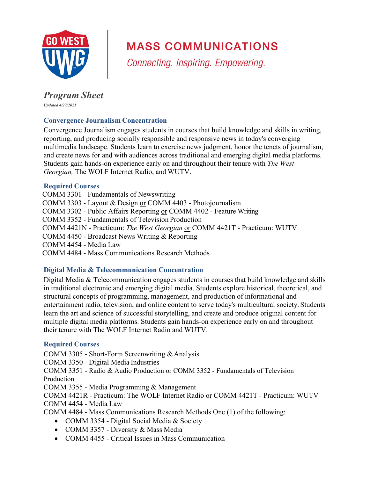

# **MASS COMMUNICATIONS**

Connecting. Inspiring. Empowering.

## *Program Sheet*

*Updated 4/27/2021*

## **Convergence Journalism Concentration**

Convergence Journalism engages students in courses that build knowledge and skills in writing, reporting, and producing socially responsible and responsive news in today's converging multimedia landscape. Students learn to exercise news judgment, honor the tenets of journalism, and create news for and with audiences across traditional and emerging digital media platforms. Students gain hands-on experience early on and throughout their tenure with *The West Georgian,* The WOLF Internet Radio, and WUTV.

## **Required Courses**

COMM 3301 - Fundamentals of Newswriting COMM 3303 - Layout & Design or COMM 4403 - Photojournalism COMM 3302 - Public Affairs Reporting or COMM 4402 - Feature Writing COMM 3352 - Fundamentals of Television Production COMM 4421N - Practicum: *The West Georgian* or COMM 4421T - Practicum: WUTV COMM 4450 - Broadcast News Writing & Reporting COMM 4454 - Media Law COMM 4484 - Mass Communications Research Methods

## **Digital Media & Telecommunication Concentration**

Digital Media & Telecommunication engages students in courses that build knowledge and skills in traditional electronic and emerging digital media. Students explore historical, theoretical, and structural concepts of programming, management, and production of informational and entertainment radio, television, and online content to serve today's multicultural society. Students learn the art and science of successful storytelling, and create and produce original content for multiple digital media platforms. Students gain hands-on experience early on and throughout their tenure with The WOLF Internet Radio and WUTV.

## **Required Courses**

COMM 3305 - Short-Form Screenwriting & Analysis

COMM 3350 - Digital Media Industries

COMM 3351 - Radio & Audio Production or COMM 3352 - Fundamentals of Television Production

COMM 3355 - Media Programming & Management

COMM 4421R - Practicum: The WOLF Internet Radio or COMM 4421T - Practicum: WUTV COMM 4454 - Media Law

COMM 4484 - Mass Communications Research Methods One (1) of the following:

- COMM 3354 Digital Social Media & Society
- COMM 3357 Diversity & Mass Media
- COMM 4455 Critical Issues in Mass Communication